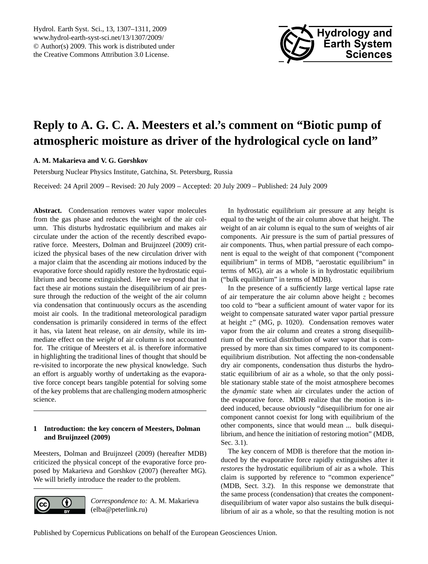<span id="page-0-0"></span>Hydrol. Earth Syst. Sci., 13, 1307–1311, 2009 www.hydrol-earth-syst-sci.net/13/1307/2009/ © Author(s) 2009. This work is distributed under the Creative Commons Attribution 3.0 License.



# **Reply to A. G. C. A. Meesters et al.'s comment on "Biotic pump of atmospheric moisture as driver of the hydrological cycle on land"**

**A. M. Makarieva and V. G. Gorshkov**

Petersburg Nuclear Physics Institute, Gatchina, St. Petersburg, Russia

Received: 24 April 2009 – Revised: 20 July 2009 – Accepted: 20 July 2009 – Published: 24 July 2009

Abstract. Condensation removes water vapor molecules from the gas phase and reduces the weight of the air column. This disturbs hydrostatic equilibrium and makes air circulate under the action of the recently described evaporative force. Meesters, Dolman and Bruijnzeel (2009) criticized the physical bases of the new circulation driver with a major claim that the ascending air motions induced by the evaporative force should rapidly restore the hydrostatic equilibrium and become extinguished. Here we respond that in fact these air motions sustain the disequilibrium of air pressure through the reduction of the weight of the air column via condensation that continuously occurs as the ascending moist air cools. In the traditional meteorological paradigm condensation is primarily considered in terms of the effect it has, via latent heat release, on air *density*, while its immediate effect on the *weight* of air column is not accounted for. The critique of Meesters et al. is therefore informative in highlighting the traditional lines of thought that should be re-visited to incorporate the new physical knowledge. Such an effort is arguably worthy of undertaking as the evaporative force concept bears tangible potential for solving some of the key problems that are challenging modern atmospheric science.

## **1 Introduction: the key concern of Meesters, Dolman and Bruijnzeel (2009)**

Meesters, Dolman and Bruijnzeel (2009) (hereafter MDB) criticized the physical concept of the evaporative force proposed by [Makarieva and Gorshkov](#page-4-0) [\(2007\)](#page-4-0) (hereafter MG). We will briefly introduce the reader to the problem.



*Correspondence to:* A. M. Makarieva (elba@peterlink.ru)

In hydrostatic equilibrium air pressure at any height is equal to the weight of the air column above that height. The weight of an air column is equal to the sum of weights of air components. Air pressure is the sum of partial pressures of air components. Thus, when partial pressure of each component is equal to the weight of that component ("component equilibrium" in terms of MDB, "aerostatic equilibrium" in terms of MG), air as a whole is in hydrostatic equilibrium ("bulk equilibrium" in terms of MDB).

In the presence of a sufficiently large vertical lapse rate of air temperature the air column above height  $\zeta$  becomes too cold to "bear a sufficient amount of water vapor for its weight to compensate saturated water vapor partial pressure at height z" (MG, p. 1020). Condensation removes water vapor from the air column and creates a strong disequilibrium of the vertical distribution of water vapor that is compressed by more than six times compared to its componentequilibrium distribution. Not affecting the non-condensable dry air components, condensation thus disturbs the hydrostatic equilibrium of air as a whole, so that the only possible stationary stable state of the moist atmosphere becomes the *dynamic* state when air circulates under the action of the evaporative force. MDB realize that the motion is indeed induced, because obviously "disequilibrium for one air component cannot coexist for long with equilibrium of the other components, since that would mean ... bulk disequilibrium, and hence the initiation of restoring motion" (MDB, Sec. 3.1).

The key concern of MDB is therefore that the motion induced by the evaporative force rapidly extinguishes after it *restores* the hydrostatic equilibrium of air as a whole. This claim is supported by reference to "common experience" (MDB, Sect. 3.2). In this response we demonstrate that the same process (condensation) that creates the componentdisequilibrium of water vapor also sustains the bulk disequilibrium of air as a whole, so that the resulting motion is not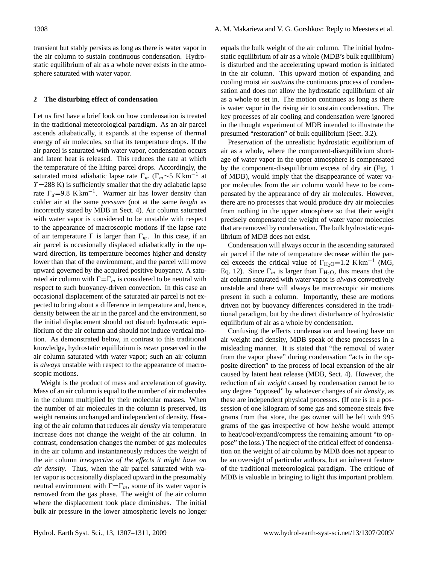transient but stably persists as long as there is water vapor in the air column to sustain continuous condensation. Hydrostatic equilibrium of air as a whole never exists in the atmosphere saturated with water vapor.

### **2 The disturbing effect of condensation**

Let us first have a brief look on how condensation is treated in the traditional meteorological paradigm. As an air parcel ascends adiabatically, it expands at the expense of thermal energy of air molecules, so that its temperature drops. If the air parcel is saturated with water vapor, condensation occurs and latent heat is released. This reduces the rate at which the temperature of the lifting parcel drops. Accordingly, the saturated moist adiabatic lapse rate  $\Gamma_m$  ( $\Gamma_m \sim 5 \text{ K km}^{-1}$  at  $T = 288$  K) is sufficiently smaller that the dry adiabatic lapse rate  $\Gamma_d$ =9.8 K km<sup>−1</sup>. Warmer air has lower density than colder air at the same *pressure* (not at the same *height* as incorrectly stated by MDB in Sect. 4). Air column saturated with water vapor is considered to be unstable with respect to the appearance of macroscopic motions if the lapse rate of air temperature  $\Gamma$  is larger than  $\Gamma_m$ . In this case, if an air parcel is occasionally displaced adiabatically in the upward direction, its temperature becomes higher and density lower than that of the environment, and the parcel will move upward governed by the acquired positive buoyancy. A saturated air column with  $\Gamma = \Gamma_m$  is considered to be neutral with respect to such buoyancy-driven convection. In this case an occasional displacement of the saturated air parcel is not expected to bring about a difference in temperature and, hence, density between the air in the parcel and the environment, so the initial displacement should not disturb hydrostatic equilibrium of the air column and should not induce vertical motion. As demonstrated below, in contrast to this traditional knowledge, hydrostatic equilibrium is *never* preserved in the air column saturated with water vapor; such an air column is *always* unstable with respect to the appearance of macroscopic motions.

Weight is the product of mass and acceleration of gravity. Mass of an air column is equal to the number of air molecules in the column multiplied by their molecular masses. When the number of air molecules in the column is preserved, its weight remains unchanged and independent of density. Heating of the air column that reduces air *density* via temperature increase does not change the weight of the air column. In contrast, condensation changes the number of gas molecules in the air column and instantaneously reduces the weight of the air column *irrespective of the effects it might have on air density*. Thus, when the air parcel saturated with water vapor is occasionally displaced upward in the presumably neutral environment with  $\Gamma = \Gamma_m$ , some of its water vapor is removed from the gas phase. The weight of the air column where the displacement took place diminishes. The initial bulk air pressure in the lower atmospheric levels no longer

equals the bulk weight of the air column. The initial hydrostatic equilibrium of air as a whole (MDB's bulk equilibium) is disturbed and the accelerating upward motion is initiated in the air column. This upward motion of expanding and cooling moist air *sustains* the continuous process of condensation and does not allow the hydrostatic equilibrium of air as a whole to set in. The motion continues as long as there is water vapor in the rising air to sustain condensation. The key processes of air cooling and condensation were ignored in the thought experiment of MDB intended to illustrate the presumed "restoration" of bulk equilibrium (Sect. 3.2).

Preservation of the unrealistic hydrostatic equilibrium of air as a whole, where the component-disequilibrium shortage of water vapor in the upper atmosphere is compensated by the component-disequilibrium excess of dry air (Fig. 1 of MDB), would imply that the disappearance of water vapor molecules from the air column would have to be compensated by the appearance of dry air molecules. However, there are no processes that would produce dry air molecules from nothing in the upper atmosphere so that their weight precisely compensated the weight of water vapor molecules that are removed by condensation. The bulk hydrostatic equilibrium of MDB does not exist.

Condensation will always occur in the ascending saturated air parcel if the rate of temperature decrease within the parcel exceeds the critical value of  $\Gamma_{\text{H}_2\text{O}}$ =1.2 K km<sup>-1</sup> (MG, Eq. 12). Since  $\Gamma_m$  is larger than  $\Gamma_{\text{H}_2\text{O}}$ , this means that the air column saturated with water vapor is *always* convectively unstable and there will always be macroscopic air motions present in such a column. Importantly, these are motions driven not by buoyancy differences considered in the traditional paradigm, but by the direct disturbance of hydrostatic equilibrium of air as a whole by condensation.

Confusing the effects condensation and heating have on air weight and density, MDB speak of these processes in a misleading manner. It is stated that "the removal of water from the vapor phase" during condensation "acts in the opposite direction" to the process of local expansion of the air caused by latent heat release (MDB, Sect. 4). However, the reduction of air *weight* caused by condensation cannot be to any degree "opposed" by whatever changes of air *density*, as these are independent physical processes. (If one is in a possession of one kilogram of some gas and someone steals five grams from that store, the gas owner will be left with 995 grams of the gas irrespective of how he/she would attempt to heat/cool/expand/compress the remaining amount "to oppose" the loss.) The neglect of the critical effect of condensation on the weight of air column by MDB does not appear to be an oversight of particular authors, but an inherent feature of the traditional meteorological paradigm. The critique of MDB is valuable in bringing to light this important problem.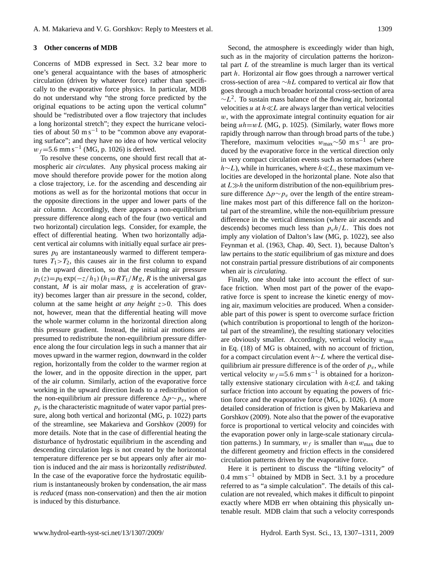#### **3 Other concerns of MDB**

Concerns of MDB expressed in Sect. 3.2 bear more to one's general acquaintance with the bases of atmospheric circulation (driven by whatever force) rather than specifically to the evaporative force physics. In particular, MDB do not understand why "the strong force predicted by the original equations to be acting upon the vertical column" should be "redistributed over a flow trajectory that includes a long horizontal stretch"; they expect the hurricane velocities of about 50 m s<sup> $-1$ </sup> to be "common above any evaporating surface"; and they have no idea of how vertical velocity  $w_f$ =5.6 mm s<sup>-1</sup> (MG, p. 1026) is derived.

To resolve these concerns, one should first recall that atmospheric air *circulates*. Any physical process making air move should therefore provide power for the motion along a close trajectory, i.e. for the ascending and descending air motions as well as for the horizontal motions that occur in the opposite directions in the upper and lower parts of the air column. Accordingly, there appears a non-equilibrium pressure difference along each of the four (two vertical and two horizontal) circulation legs. Consider, for example, the effect of differential heating. When two horizontally adjacent vertical air columns with initially equal surface air pressures  $p_0$  are instantaneously warmed to different temperatures  $T_1>T_2$ , this causes air in the first column to expand in the upward direction, so that the resulting air pressure  $p_1(z)=p_0 \exp(-z/h_1)$  (h<sub>1</sub>=RT<sub>1</sub>/Mg, R is the universal gas constant,  $M$  is air molar mass,  $g$  is acceleration of gravity) becomes larger than air pressure in the second, colder, column at the same height *at any height* z>0. This does not, however, mean that the differential heating will move the whole warmer column in the horizontal direction along this pressure gradient. Instead, the initial air motions are presumed to redistribute the non-equilibrium pressure difference along the four circulation legs in such a manner that air moves upward in the warmer region, downward in the colder region, horizontally from the colder to the warmer region at the lower, and in the opposite direction in the upper, part of the air column. Similarly, action of the evaporative force working in the upward direction leads to a redistribution of the non-equilibrium air pressure difference  $\Delta p \sim p_v$ , where  $p<sub>v</sub>$  is the characteristic magnitude of water vapor partial pressure, along both vertical and horizontal (MG, p. 1022) parts of the streamline, see [Makarieva and Gorshkov](#page-4-1) [\(2009\)](#page-4-1) for more details. Note that in the case of differential heating the disturbance of hydrostatic equilibrium in the ascending and descending circulation legs is not created by the horizontal temperature difference per se but appears only after air motion is induced and the air mass is horizontally *redistributed*. In the case of the evaporative force the hydrostatic equilibrium is instantaneously broken by condensation, the air mass is *reduced* (mass non-conservation) and then the air motion is induced by this disturbance.

Second, the atmosphere is exceedingly wider than high, such as in the majority of circulation patterns the horizontal part  $L$  of the streamline is much larger than its vertical part h. Horizontal air flow goes through a narrower vertical cross-section of area  $∼hL$  compared to vertical air flow that goes through a much broader horizontal cross-section of area  $\sim L^2$ . To sustain mass balance of the flowing air, horizontal velocities u at  $h \ll L$  are always larger than vertical velocities  $w$ , with the approximate integral continuity equation for air being  $uh=wL$  (MG, p. 1025). (Similarly, water flows more rapidly through narrow than through broad parts of the tube.) Therefore, maximum velocities  $w_{\text{max}} \sim 50 \text{ m s}^{-1}$  are produced by the evaporative force in the vertical direction only in very compact circulation events such as tornadoes (where  $h \sim L$ ), while in hurricanes, where  $h \ll L$ , these maximum velocities are developed in the horizontal plane. Note also that at  $L \gg h$  the uniform distribution of the non-equilibrium pressure difference  $\Delta p \sim p_v$  over the length of the entire streamline makes most part of this difference fall on the horizontal part of the streamline, while the non-equilibrium pressure difference in the vertical dimension (where air ascends and descends) becomes much less than  $p_v h/L$ . This does not imply any violation of Dalton's law (MG, p. 1022), see also [Feynman et al.](#page-4-2) [\(1963,](#page-4-2) Chap. 40, Sect. 1), because Dalton's law pertains to the *static* equilibrium of gas mixture and does not constrain partial pressure distributions of air components when air is *circulating*.

Finally, one should take into account the effect of surface friction. When most part of the power of the evaporative force is spent to increase the kinetic energy of moving air, maximum velocities are produced. When a considerable part of this power is spent to overcome surface friction (which contribution is proportional to length of the horizontal part of the streamline), the resulting stationary velocities are obviously smaller. Accordingly, vertical velocity  $w_{\text{max}}$ in Eq. (18) of MG is obtained, with no account of friction, for a compact circulation event  $h \sim L$  where the vertical disequilibrium air pressure difference is of the order of  $p_v$ , while vertical velocity  $w_f = 5.6$  mm s<sup>-1</sup> is obtained for a horizontally extensive stationary circulation with  $h \ll L$  and taking surface friction into account by equating the powers of friction force and the evaporative force (MG, p. 1026). (A more detailed consideration of friction is given by [Makarieva and](#page-4-1) [Gorshkov](#page-4-1) [\(2009\)](#page-4-1). Note also that the power of the evaporative force is proportional to vertical velocity and coincides with the evaporation power only in large-scale stationary circulation patterns.) In summary,  $w_f$  is smaller than  $w_{\text{max}}$  due to the different geometry and friction effects in the considered circulation patterns driven by the evaporative force.

Here it is pertinent to discuss the "lifting velocity" of 0.4 mm s−<sup>1</sup> obtained by MDB in Sect. 3.1 by a procedure referred to as "a simple calculation". The details of this calculation are not revealed, which makes it difficult to pinpoint exactly where MDB err when obtaining this physically untenable result. MDB claim that such a velocity corresponds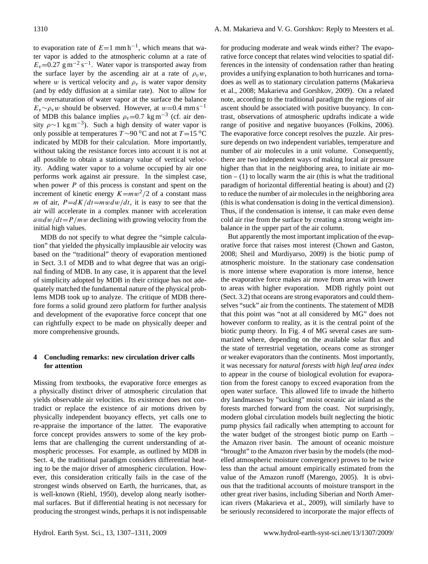to evaporation rate of  $E=1$  mm  $h^{-1}$ , which means that water vapor is added to the atmospheric column at a rate of  $E_v$ =0.27 g m<sup>-2</sup> s<sup>-1</sup>. Water vapor is transported away from the surface layer by the ascending air at a rate of  $\rho_v w$ , where w is vertical velocity and  $\rho_v$  is water vapor density (and by eddy diffusion at a similar rate). Not to allow for the oversaturation of water vapor at the surface the balance  $E_v \sim \rho_v w$  should be observed. However, at  $w=0.4$  mm s<sup>-1</sup> of MDB this balance implies  $\rho_v$ =0.7 kg m<sup>-3</sup> (cf. air density  $\rho \sim 1 \text{ kg m}^{-3}$ ). Such a high density of water vapor is only possible at temperatures  $T \sim 90\degree$ C and not at  $T=15\degree$ C indicated by MDB for their calculation. More importantly, without taking the resistance forces into account it is not at all possible to obtain a stationary value of vertical velocity. Adding water vapor to a volume occupied by air one performs work against air pressure. In the simplest case, when power  $P$  of this process is constant and spent on the increment of kinetic energy  $K=mv^2/2$  of a constant mass m of air,  $P=dK/dt=mvdw/dt$ , it is easy to see that the air will accelerate in a complex manner with acceleration  $a \equiv dw/dt = P/mw$  declining with growing velocity from the initial high values.

MDB do not specify to what degree the "simple calculation" that yielded the physically implausible air velocity was based on the "traditional" theory of evaporation mentioned in Sect. 3.1 of MDB and to what degree that was an original finding of MDB. In any case, it is apparent that the level of simplicity adopted by MDB in their critique has not adequately matched the fundamental nature of the physical problems MDB took up to analyze. The critique of MDB therefore forms a solid ground zero platform for further analysis and development of the evaporative force concept that one can rightfully expect to be made on physically deeper and more comprehensive grounds.

## **4 Concluding remarks: new circulation driver calls for attention**

Missing from textbooks, the evaporative force emerges as a physically distinct driver of atmospheric circulation that yields observable air velocities. Its existence does not contradict or replace the existence of air motions driven by physically independent buoyancy effects, yet calls one to re-appraise the importance of the latter. The evaporative force concept provides answers to some of the key problems that are challenging the current understanding of atmospheric processes. For example, as outlined by MDB in Sect. 4, the traditional paradigm considers differential heating to be the major driver of atmospheric circulation. However, this consideration critically fails in the case of the strongest winds observed on Earth, the hurricanes, that, as is well-known [\(Riehl,](#page-4-3) [1950\)](#page-4-3), develop along nearly isothermal surfaces. But if differential heating is not necessary for producing the strongest winds, perhaps it is not indispensable for producing moderate and weak winds either? The evaporative force concept that relates wind velocities to spatial differences in the intensity of condensation rather than heating provides a unifying explanation to both hurricanes and tornadoes as well as to stationary circulation patterns [\(Makarieva](#page-4-4) [et al.,](#page-4-4) [2008;](#page-4-4) [Makarieva and Gorshkov,](#page-4-1) [2009\)](#page-4-1). On a related note, according to the traditional paradigm the regions of air ascent should be associated with positive buoyancy. In contrast, observations of atmospheric updrafts indicate a wide range of positive and negative buoyances [\(Folkins,](#page-4-5) [2006\)](#page-4-5). The evaporative force concept resolves the puzzle. Air pressure depends on two independent variables, temperature and number of air molecules in a unit volume. Consequently, there are two independent ways of making local air pressure higher than that in the neighboring area, to initiate air mo- $\text{tion} - (1)$  to locally warm the air (this is what the traditional paradigm of horizontal differential heating is about) and (2) to reduce the number of air molecules in the neighboring area (this is what condensation is doing in the vertical dimension). Thus, if the condensation is intense, it can make even dense cold air rise from the surface by creating a strong weight imbalance in the upper part of the air column.

But apparently the most important implication of the evaporative force that raises most interest [\(Chown and Gaston,](#page-4-6) [2008;](#page-4-6) [Sheil and Murdiyarso,](#page-4-7) [2009\)](#page-4-7) is the biotic pump of atmospheric moisture. In the stationary case condensation is more intense where evaporation is more intense, hence the evaporative force makes air move from areas with lower to areas with higher evaporation. MDB rightly point out (Sect. 3.2) that oceans are strong evaporators and could themselves "suck" air from the continents. The statement of MDB that this point was "not at all considered by MG" does not however conform to reality, as it is the central point of the biotic pump theory. In Fig. 4 of MG several cases are summarized where, depending on the available solar flux and the state of terrestrial vegetation, oceans come as stronger or weaker evaporators than the continents. Most importantly, it was necessary for *natural forests with high leaf area index* to appear in the course of biological evolution for evaporation from the forest canopy to exceed evaporation from the open water surface. This allowed life to invade the hitherto dry landmasses by "sucking" moist oceanic air inland as the forests marched forward from the coast. Not surprisingly, modern global circulation models built neglecting the biotic pump physics fail radically when attempting to account for the water budget of the strongest biotic pump on Earth – the Amazon river basin. The amount of oceanic moisture "brought" to the Amazon river basin by the models (the modelled atmospheric moisture convergence) proves to be twice less than the actual amount empirically estimated from the value of the Amazon runoff [\(Marengo,](#page-4-8) [2005\)](#page-4-8). It is obvious that the traditional accounts of moisture transport in the other great river basins, including Siberian and North American rivers [\(Makarieva et al.,](#page-4-9) [2009\)](#page-4-9), will similarly have to be seriously reconsidered to incorporate the major effects of